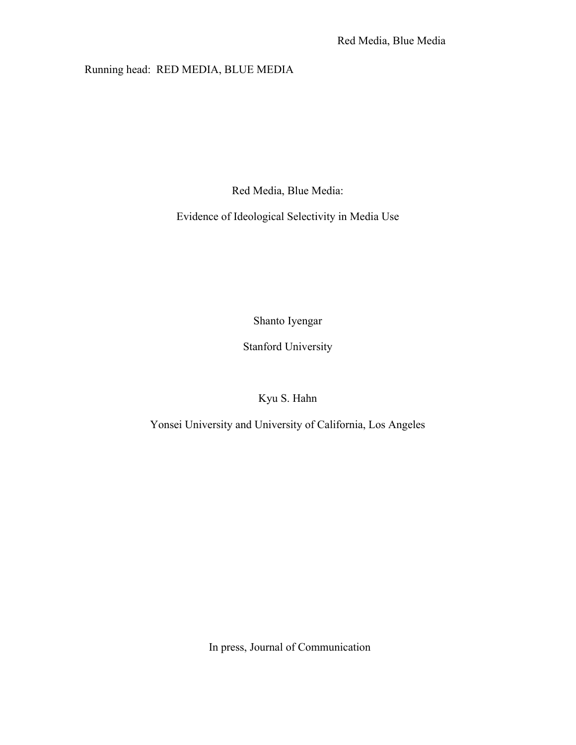### Running head: RED MEDIA, BLUE MEDIA

Red Media, Blue Media:

Evidence of Ideological Selectivity in Media Use

Shanto Iyengar

Stanford University

Kyu S. Hahn

Yonsei University and University of California, Los Angeles

In press, Journal of Communication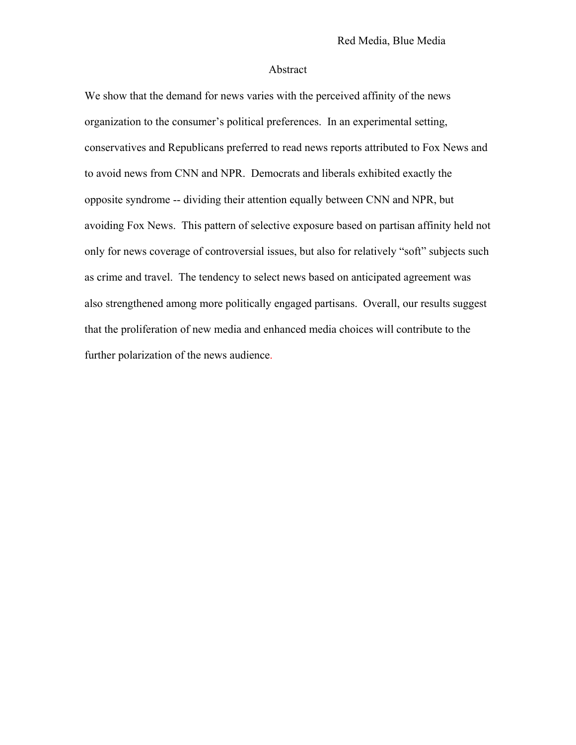#### Abstract

We show that the demand for news varies with the perceived affinity of the news organization to the consumer's political preferences. In an experimental setting, conservatives and Republicans preferred to read news reports attributed to Fox News and to avoid news from CNN and NPR. Democrats and liberals exhibited exactly the opposite syndrome -- dividing their attention equally between CNN and NPR, but avoiding Fox News. This pattern of selective exposure based on partisan affinity held not only for news coverage of controversial issues, but also for relatively "soft" subjects such as crime and travel. The tendency to select news based on anticipated agreement was also strengthened among more politically engaged partisans. Overall, our results suggest that the proliferation of new media and enhanced media choices will contribute to the further polarization of the news audience.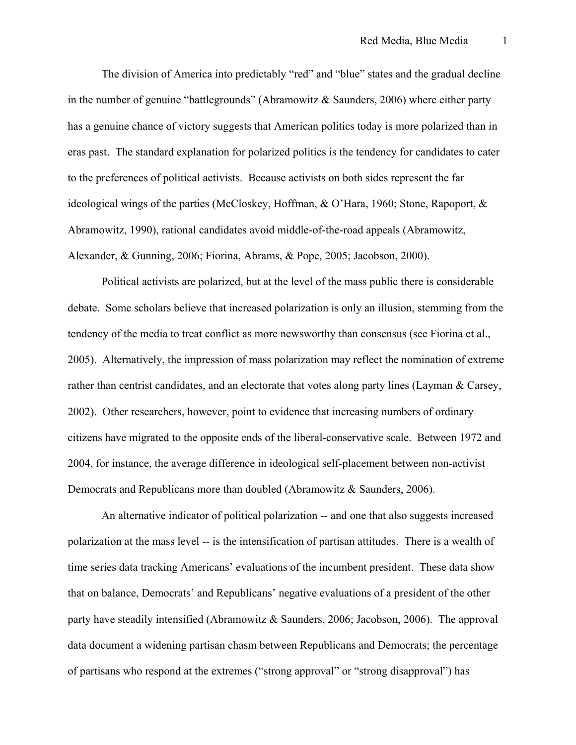The division of America into predictably "red" and "blue" states and the gradual decline in the number of genuine "battlegrounds" (Abramowitz & Saunders, 2006) where either party has a genuine chance of victory suggests that American politics today is more polarized than in eras past. The standard explanation for polarized politics is the tendency for candidates to cater to the preferences of political activists. Because activists on both sides represent the far ideological wings of the parties (McCloskey, Hoffman, & O'Hara, 1960; Stone, Rapoport, & Abramowitz, 1990), rational candidates avoid middle-of-the-road appeals (Abramowitz, Alexander, & Gunning, 2006; Fiorina, Abrams, & Pope, 2005; Jacobson, 2000).

Political activists are polarized, but at the level of the mass public there is considerable debate. Some scholars believe that increased polarization is only an illusion, stemming from the tendency of the media to treat conflict as more newsworthy than consensus (see Fiorina et al., 2005). Alternatively, the impression of mass polarization may reflect the nomination of extreme rather than centrist candidates, and an electorate that votes along party lines (Layman & Carsey, 2002). Other researchers, however, point to evidence that increasing numbers of ordinary citizens have migrated to the opposite ends of the liberal-conservative scale. Between 1972 and 2004, for instance, the average difference in ideological self-placement between non-activist Democrats and Republicans more than doubled (Abramowitz & Saunders, 2006).

An alternative indicator of political polarization -- and one that also suggests increased polarization at the mass level -- is the intensification of partisan attitudes. There is a wealth of time series data tracking Americans' evaluations of the incumbent president. These data show that on balance, Democrats' and Republicans' negative evaluations of a president of the other party have steadily intensified (Abramowitz & Saunders, 2006; Jacobson, 2006). The approval data document a widening partisan chasm between Republicans and Democrats; the percentage of partisans who respond at the extremes ("strong approval" or "strong disapproval") has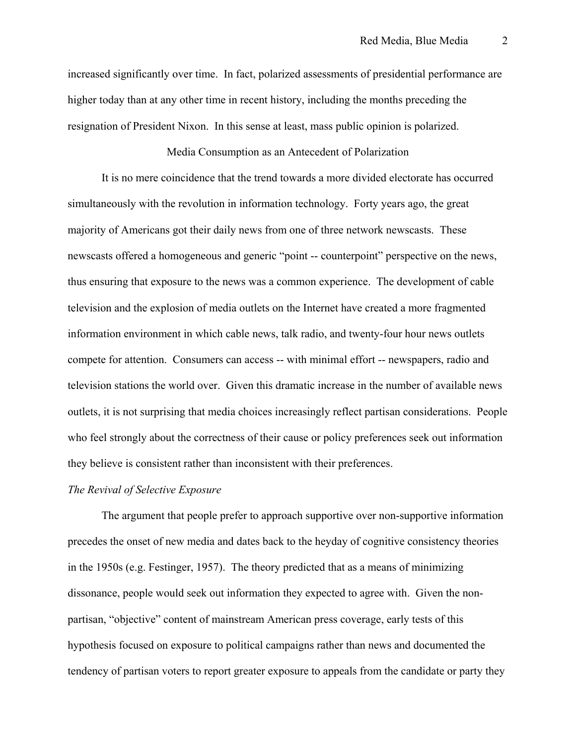increased significantly over time. In fact, polarized assessments of presidential performance are higher today than at any other time in recent history, including the months preceding the resignation of President Nixon. In this sense at least, mass public opinion is polarized.

#### Media Consumption as an Antecedent of Polarization

It is no mere coincidence that the trend towards a more divided electorate has occurred simultaneously with the revolution in information technology. Forty years ago, the great majority of Americans got their daily news from one of three network newscasts. These newscasts offered a homogeneous and generic "point -- counterpoint" perspective on the news, thus ensuring that exposure to the news was a common experience. The development of cable television and the explosion of media outlets on the Internet have created a more fragmented information environment in which cable news, talk radio, and twenty-four hour news outlets compete for attention. Consumers can access -- with minimal effort -- newspapers, radio and television stations the world over. Given this dramatic increase in the number of available news outlets, it is not surprising that media choices increasingly reflect partisan considerations. People who feel strongly about the correctness of their cause or policy preferences seek out information they believe is consistent rather than inconsistent with their preferences.

#### *The Revival of Selective Exposure*

The argument that people prefer to approach supportive over non-supportive information precedes the onset of new media and dates back to the heyday of cognitive consistency theories in the 1950s (e.g. Festinger, 1957). The theory predicted that as a means of minimizing dissonance, people would seek out information they expected to agree with. Given the nonpartisan, "objective" content of mainstream American press coverage, early tests of this hypothesis focused on exposure to political campaigns rather than news and documented the tendency of partisan voters to report greater exposure to appeals from the candidate or party they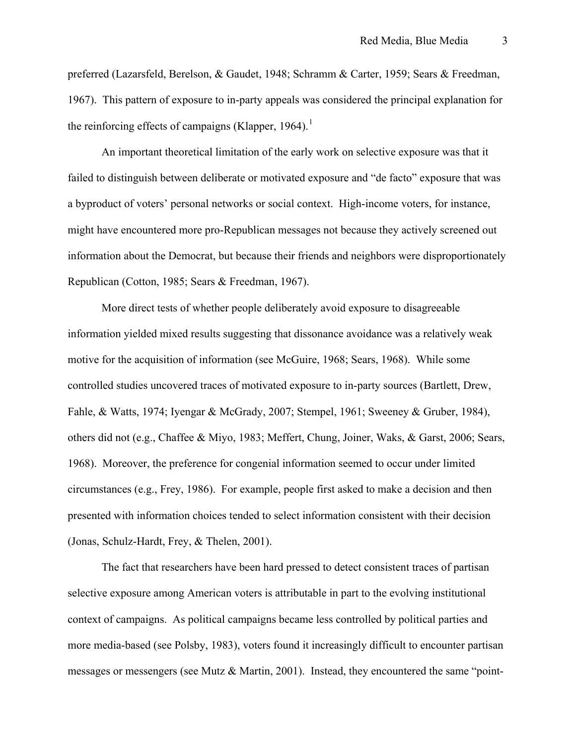preferred (Lazarsfeld, Berelson, & Gaudet, 1948; Schramm & Carter, 1959; Sears & Freedman, 1967). This pattern of exposure to in-party appeals was considered the principal explanation for the reinforcing effects of campaigns (Klapper,  $1964$  $1964$ ).<sup>1</sup>

An important theoretical limitation of the early work on selective exposure was that it failed to distinguish between deliberate or motivated exposure and "de facto" exposure that was a byproduct of voters' personal networks or social context. High-income voters, for instance, might have encountered more pro-Republican messages not because they actively screened out information about the Democrat, but because their friends and neighbors were disproportionately Republican (Cotton, 1985; Sears & Freedman, 1967).

More direct tests of whether people deliberately avoid exposure to disagreeable information yielded mixed results suggesting that dissonance avoidance was a relatively weak motive for the acquisition of information (see McGuire, 1968; Sears, 1968). While some controlled studies uncovered traces of motivated exposure to in-party sources (Bartlett, Drew, Fahle, & Watts, 1974; Iyengar & McGrady, 2007; Stempel, 1961; Sweeney & Gruber, 1984), others did not (e.g., Chaffee & Miyo, 1983; Meffert, Chung, Joiner, Waks, & Garst, 2006; Sears, 1968). Moreover, the preference for congenial information seemed to occur under limited circumstances (e.g., Frey, 1986). For example, people first asked to make a decision and then presented with information choices tended to select information consistent with their decision (Jonas, Schulz-Hardt, Frey, & Thelen, 2001).

The fact that researchers have been hard pressed to detect consistent traces of partisan selective exposure among American voters is attributable in part to the evolving institutional context of campaigns. As political campaigns became less controlled by political parties and more media-based (see Polsby, 1983), voters found it increasingly difficult to encounter partisan messages or messengers (see Mutz & Martin, 2001). Instead, they encountered the same "point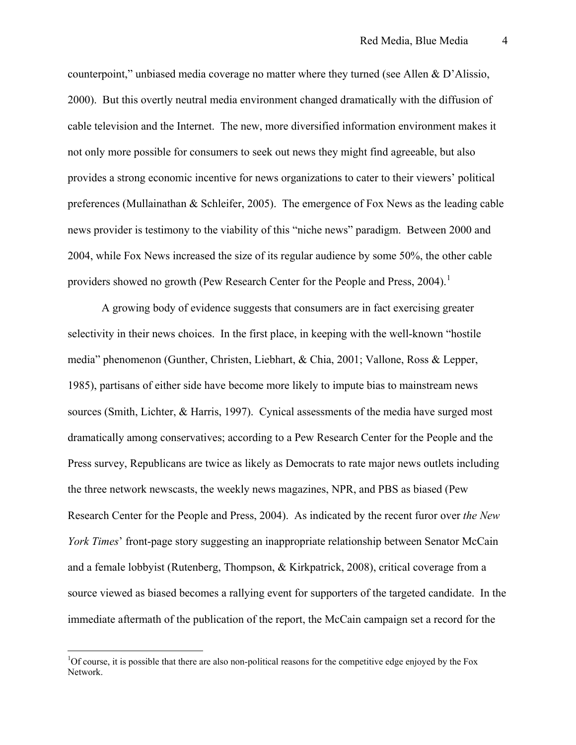counterpoint," unbiased media coverage no matter where they turned (see Allen & D'Alissio, 2000). But this overtly neutral media environment changed dramatically with the diffusion of cable television and the Internet. The new, more diversified information environment makes it not only more possible for consumers to seek out news they might find agreeable, but also provides a strong economic incentive for news organizations to cater to their viewers' political preferences (Mullainathan & Schleifer, 2005). The emergence of Fox News as the leading cable news provider is testimony to the viability of this "niche news" paradigm. Between 2000 and 2004, while Fox News increased the size of its regular audience by some 50%, the other cable providers showed no growth (Pew Research Center for the People and Press,  $2004$ ).<sup>[1](#page-5-0)</sup>

A growing body of evidence suggests that consumers are in fact exercising greater selectivity in their news choices. In the first place, in keeping with the well-known "hostile media" phenomenon (Gunther, Christen, Liebhart, & Chia, 2001; Vallone, Ross & Lepper, 1985), partisans of either side have become more likely to impute bias to mainstream news sources (Smith, Lichter, & Harris, 1997). Cynical assessments of the media have surged most dramatically among conservatives; according to a Pew Research Center for the People and the Press survey, Republicans are twice as likely as Democrats to rate major news outlets including the three network newscasts, the weekly news magazines, NPR, and PBS as biased (Pew Research Center for the People and Press, 2004). As indicated by the recent furor over *the New York Times*' front-page story suggesting an inappropriate relationship between Senator McCain and a female lobbyist (Rutenberg, Thompson, & Kirkpatrick, 2008), critical coverage from a source viewed as biased becomes a rallying event for supporters of the targeted candidate. In the immediate aftermath of the publication of the report, the McCain campaign set a record for the

 $\overline{a}$ 

<span id="page-5-0"></span><sup>&</sup>lt;sup>1</sup>Of course, it is possible that there are also non-political reasons for the competitive edge enjoyed by the Fox Network.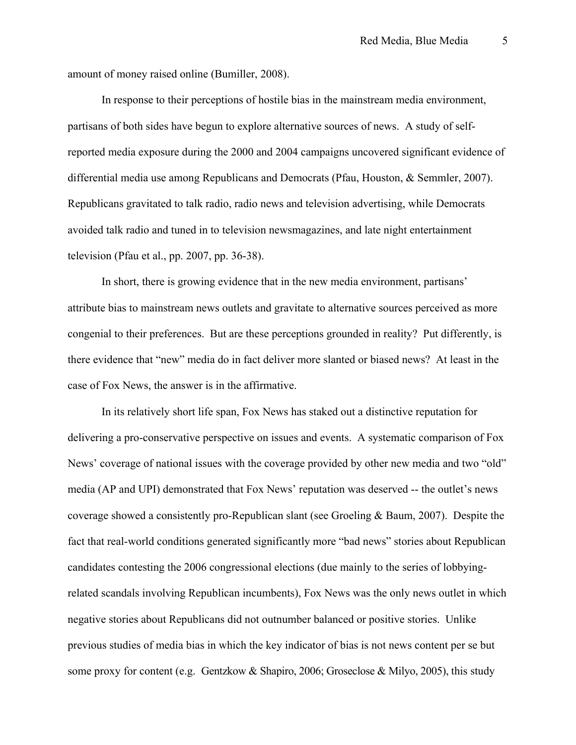amount of money raised online (Bumiller, 2008).

In response to their perceptions of hostile bias in the mainstream media environment, partisans of both sides have begun to explore alternative sources of news. A study of selfreported media exposure during the 2000 and 2004 campaigns uncovered significant evidence of differential media use among Republicans and Democrats (Pfau, Houston, & Semmler, 2007). Republicans gravitated to talk radio, radio news and television advertising, while Democrats avoided talk radio and tuned in to television newsmagazines, and late night entertainment television (Pfau et al., pp. 2007, pp. 36-38).

In short, there is growing evidence that in the new media environment, partisans' attribute bias to mainstream news outlets and gravitate to alternative sources perceived as more congenial to their preferences. But are these perceptions grounded in reality? Put differently, is there evidence that "new" media do in fact deliver more slanted or biased news? At least in the case of Fox News, the answer is in the affirmative.

In its relatively short life span, Fox News has staked out a distinctive reputation for delivering a pro-conservative perspective on issues and events. A systematic comparison of Fox News' coverage of national issues with the coverage provided by other new media and two "old" media (AP and UPI) demonstrated that Fox News' reputation was deserved -- the outlet's news coverage showed a consistently pro-Republican slant (see Groeling & Baum, 2007). Despite the fact that real-world conditions generated significantly more "bad news" stories about Republican candidates contesting the 2006 congressional elections (due mainly to the series of lobbyingrelated scandals involving Republican incumbents), Fox News was the only news outlet in which negative stories about Republicans did not outnumber balanced or positive stories. Unlike previous studies of media bias in which the key indicator of bias is not news content per se but some proxy for content (e.g. Gentzkow & Shapiro, 2006; Groseclose & Milyo, 2005), this study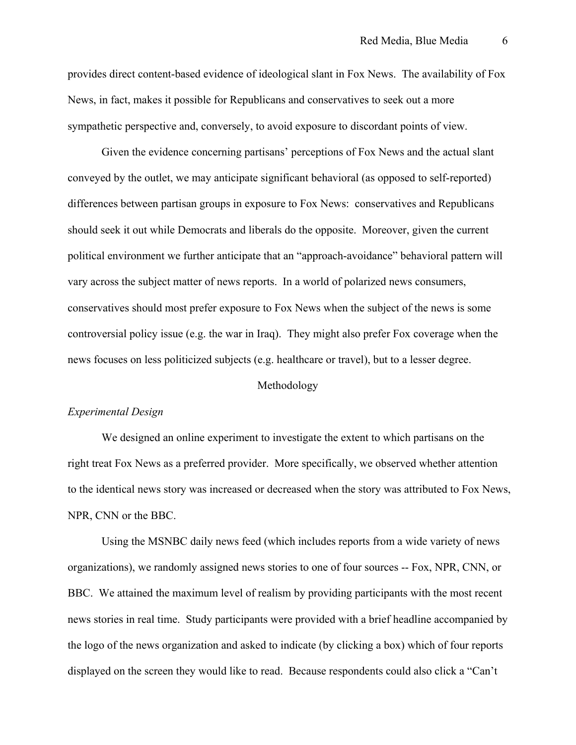provides direct content-based evidence of ideological slant in Fox News. The availability of Fox News, in fact, makes it possible for Republicans and conservatives to seek out a more sympathetic perspective and, conversely, to avoid exposure to discordant points of view.

Given the evidence concerning partisans' perceptions of Fox News and the actual slant conveyed by the outlet, we may anticipate significant behavioral (as opposed to self-reported) differences between partisan groups in exposure to Fox News: conservatives and Republicans should seek it out while Democrats and liberals do the opposite. Moreover, given the current political environment we further anticipate that an "approach-avoidance" behavioral pattern will vary across the subject matter of news reports. In a world of polarized news consumers, conservatives should most prefer exposure to Fox News when the subject of the news is some controversial policy issue (e.g. the war in Iraq). They might also prefer Fox coverage when the news focuses on less politicized subjects (e.g. healthcare or travel), but to a lesser degree.

#### Methodology

#### *Experimental Design*

We designed an online experiment to investigate the extent to which partisans on the right treat Fox News as a preferred provider. More specifically, we observed whether attention to the identical news story was increased or decreased when the story was attributed to Fox News, NPR, CNN or the BBC.

Using the MSNBC daily news feed (which includes reports from a wide variety of news organizations), we randomly assigned news stories to one of four sources -- Fox, NPR, CNN, or BBC. We attained the maximum level of realism by providing participants with the most recent news stories in real time. Study participants were provided with a brief headline accompanied by the logo of the news organization and asked to indicate (by clicking a box) which of four reports displayed on the screen they would like to read. Because respondents could also click a "Can't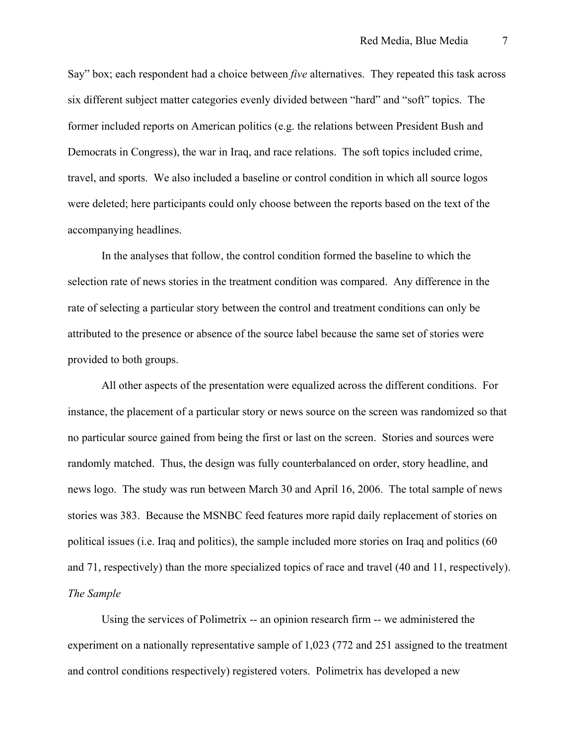<span id="page-8-1"></span>Say" box; each respondent had a choice between *five* alternatives. They repeated this task across six different subject matter categories evenly divided between "hard" and "soft" topics. The former included reports on American politics (e.g. the relations between President Bush and Democrats in Congress), the war in Iraq, and race relations. The soft topics included crime, travel, and sports. We also included a baseline or control condition in which all source logos were deleted; here participants could only choose between the reports based on the text of the accompanying headlines.

<span id="page-8-0"></span>In the analyses that follow, the control condition formed the baseline to which the selection rate of news stories in the treatment condition was compared. Any difference in the rate of selecting a particular story between the control and treatment conditions can only be attributed to the presence or absence of the source label because the same set of stories were provided to both groups.

All other aspects of the presentation were equalized across the different conditions. For instance, the placement of a particular story or news source on the screen was randomized so that no particular source gained from being the first or last on the screen. Stories and sources were randomly matched. Thus, the design was fully counterbalanced on order, story headline, and news logo. The study was run between March 30 and April 16, 2006. The total sample of news stories was 383. Because the MSNBC feed features more rapid daily replacement of stories on political issues (i.e. Iraq and politics), the sample included more stories on Iraq and politics (60 and 71, respectively) than the more specialized topics of race and travel (40 and 11, respectively). *The Sample* 

Using the services of Polimetrix -- an opinion research firm -- we administered the experiment on a nationally representative sample of 1,023 (772 and 251 assigned to the treatment and control conditions respectively) registered voters. Polimetrix has developed a new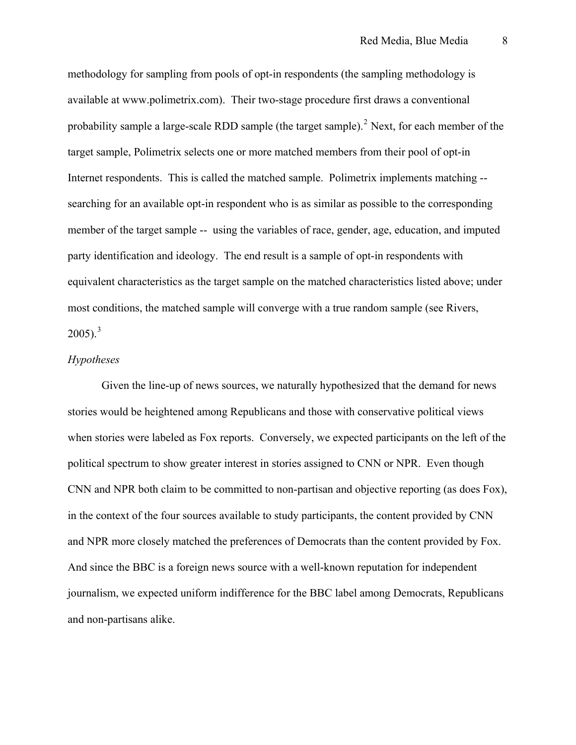<span id="page-9-0"></span>methodology for sampling from pools of opt-in respondents (the sampling methodology is available at [www.polimetrix.com\)](http://www.polimetrix.com/). Their two-stage procedure first draws a conventional probability sample a large-scale RDD sample (the target sample).<sup>[2](#page-8-1)</sup> Next, for each member of the target sample, Polimetrix selects one or more matched members from their pool of opt-in Internet respondents. This is called the matched sample. Polimetrix implements matching - searching for an available opt-in respondent who is as similar as possible to the corresponding member of the target sample -- using the variables of race, gender, age, education, and imputed party identification and ideology. The end result is a sample of opt-in respondents with equivalent characteristics as the target sample on the matched characteristics listed above; under most conditions, the matched sample will converge with a true random sample (see Rivers,  $2005$ ).<sup>[3](#page-8-1)</sup>

#### *Hypotheses*

Given the line-up of news sources, we naturally hypothesized that the demand for news stories would be heightened among Republicans and those with conservative political views when stories were labeled as Fox reports. Conversely, we expected participants on the left of the political spectrum to show greater interest in stories assigned to CNN or NPR. Even though CNN and NPR both claim to be committed to non-partisan and objective reporting (as does Fox), in the context of the four sources available to study participants, the content provided by CNN and NPR more closely matched the preferences of Democrats than the content provided by Fox. And since the BBC is a foreign news source with a well-known reputation for independent journalism, we expected uniform indifference for the BBC label among Democrats, Republicans and non-partisans alike.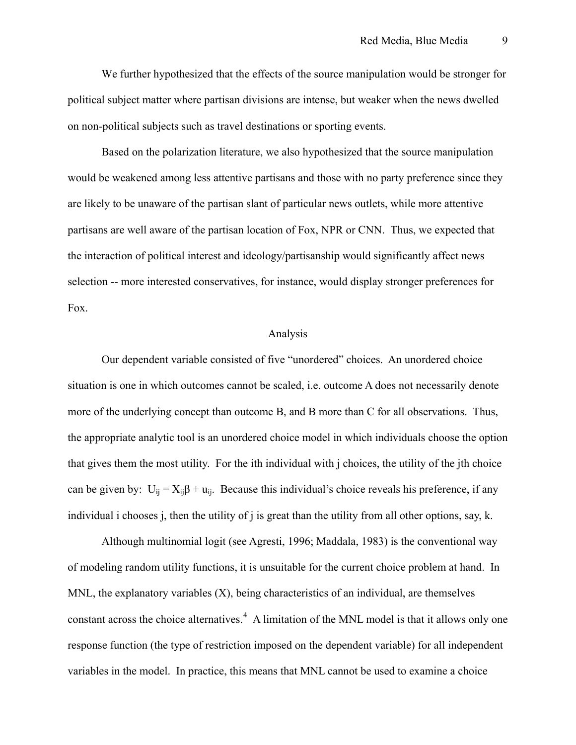<span id="page-10-0"></span>We further hypothesized that the effects of the source manipulation would be stronger for political subject matter where partisan divisions are intense, but weaker when the news dwelled on non-political subjects such as travel destinations or sporting events.

Based on the polarization literature, we also hypothesized that the source manipulation would be weakened among less attentive partisans and those with no party preference since they are likely to be unaware of the partisan slant of particular news outlets, while more attentive partisans are well aware of the partisan location of Fox, NPR or CNN. Thus, we expected that the interaction of political interest and ideology/partisanship would significantly affect news selection -- more interested conservatives, for instance, would display stronger preferences for Fox.

#### Analysis

Our dependent variable consisted of five "unordered" choices. An unordered choice situation is one in which outcomes cannot be scaled, i.e. outcome A does not necessarily denote more of the underlying concept than outcome B, and B more than C for all observations. Thus, the appropriate analytic tool is an unordered choice model in which individuals choose the option that gives them the most utility. For the ith individual with j choices, the utility of the jth choice can be given by:  $U_{ii} = X_{ii}\beta + u_{ii}$ . Because this individual's choice reveals his preference, if any individual i chooses j, then the utility of j is great than the utility from all other options, say, k.

Although multinomial logit (see Agresti, 1996; Maddala, 1983) is the conventional way of modeling random utility functions, it is unsuitable for the current choice problem at hand. In MNL, the explanatory variables (X), being characteristics of an individual, are themselves constant across the choice alternatives. $4$  A limitation of the MNL model is that it allows only one response function (the type of restriction imposed on the dependent variable) for all independent variables in the model. In practice, this means that MNL cannot be used to examine a choice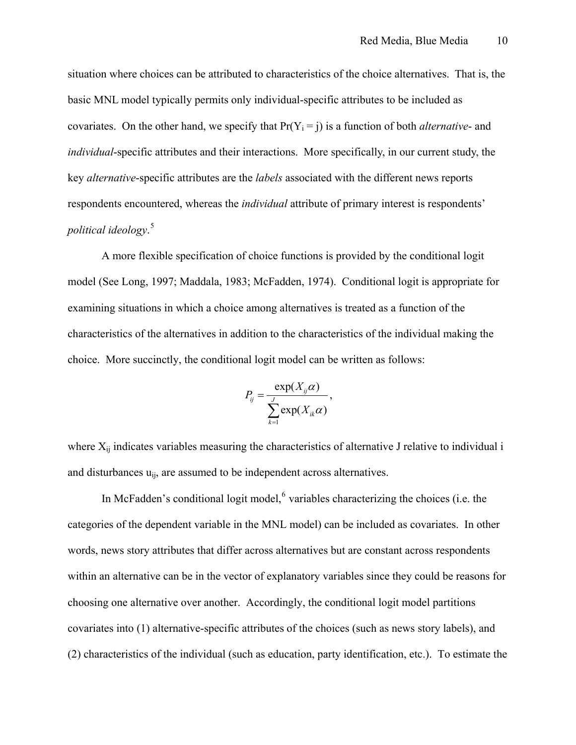situation where choices can be attributed to characteristics of the choice alternatives. That is, the basic MNL model typically permits only individual-specific attributes to be included as covariates. On the other hand, we specify that  $Pr(Y_i = j)$  is a function of both *alternative*- and *individual*-specific attributes and their interactions. More specifically, in our current study, the key *alternative*-specific attributes are the *labels* associated with the different news reports respondents encountered, whereas the *individual* attribute of primary interest is respondents' *political ideology*. [5](#page-9-0)

A more flexible specification of choice functions is provided by the conditional logit model (See Long, 1997; Maddala, 1983; McFadden, 1974). Conditional logit is appropriate for examining situations in which a choice among alternatives is treated as a function of the characteristics of the alternatives in addition to the characteristics of the individual making the choice. More succinctly, the conditional logit model can be written as follows:

$$
P_{ij} = \frac{\exp(X_{ij}\alpha)}{\sum_{k=1}^{J} \exp(X_{ik}\alpha)},
$$

where  $X_{ij}$  indicates variables measuring the characteristics of alternative J relative to individual i and disturbances  $u_{ii}$ , are assumed to be independent across alternatives.

In McFadden's conditional logit model, $6$  variables characterizing the choices (i.e. the categories of the dependent variable in the MNL model) can be included as covariates. In other words, news story attributes that differ across alternatives but are constant across respondents within an alternative can be in the vector of explanatory variables since they could be reasons for choosing one alternative over another. Accordingly, the conditional logit model partitions covariates into (1) alternative-specific attributes of the choices (such as news story labels), and (2) characteristics of the individual (such as education, party identification, etc.). To estimate the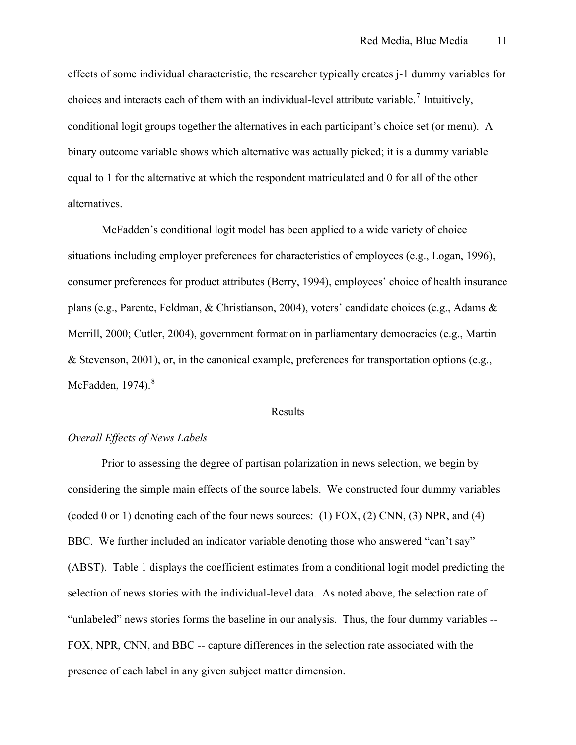effects of some individual characteristic, the researcher typically creates j-1 dummy variables for choices and interacts each of them with an individual-level attribute variable.<sup>[7](#page-9-0)</sup> Intuitively, conditional logit groups together the alternatives in each participant's choice set (or menu). A binary outcome variable shows which alternative was actually picked; it is a dummy variable equal to 1 for the alternative at which the respondent matriculated and 0 for all of the other alternatives.

McFadden's conditional logit model has been applied to a wide variety of choice situations including employer preferences for characteristics of employees (e.g., Logan, 1996), consumer preferences for product attributes (Berry, 1994), employees' choice of health insurance plans (e.g., Parente, Feldman, & Christianson, 2004), voters' candidate choices (e.g., Adams & Merrill, 2000; Cutler, 2004), government formation in parliamentary democracies (e.g., Martin & Stevenson, 2001), or, in the canonical example, preferences for transportation options (e.g., McFadden,  $1974$ ). $8$ 

#### Results

#### *Overall Effects of News Labels*

Prior to assessing the degree of partisan polarization in news selection, we begin by considering the simple main effects of the source labels. We constructed four dummy variables (coded 0 or 1) denoting each of the four news sources: (1) FOX, (2) CNN, (3) NPR, and (4) BBC. We further included an indicator variable denoting those who answered "can't say" (ABST). Table 1 displays the coefficient estimates from a conditional logit model predicting the selection of news stories with the individual-level data. As noted above, the selection rate of "unlabeled" news stories forms the baseline in our analysis. Thus, the four dummy variables -- FOX, NPR, CNN, and BBC -- capture differences in the selection rate associated with the presence of each label in any given subject matter dimension.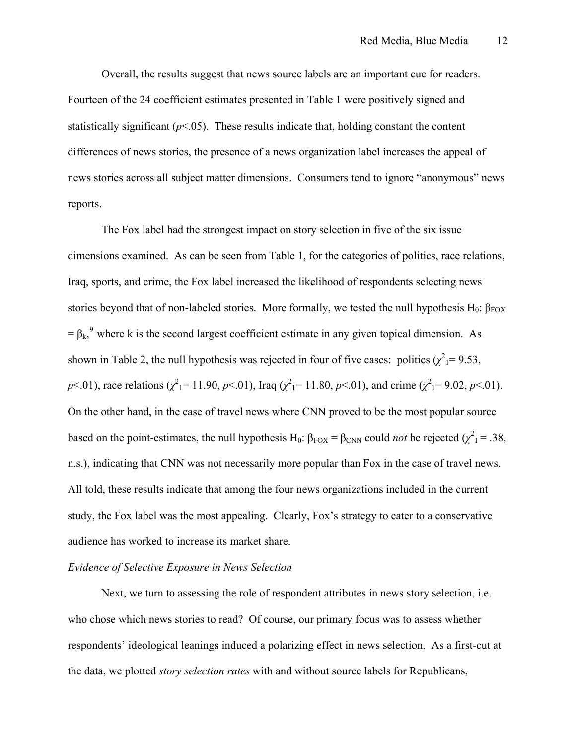Overall, the results suggest that news source labels are an important cue for readers. Fourteen of the 24 coefficient estimates presented in Table 1 were positively signed and statistically significant  $(p<0.05)$ . These results indicate that, holding constant the content differences of news stories, the presence of a news organization label increases the appeal of news stories across all subject matter dimensions. Consumers tend to ignore "anonymous" news reports.

The Fox label had the strongest impact on story selection in five of the six issue dimensions examined. As can be seen from Table 1, for the categories of politics, race relations, Iraq, sports, and crime, the Fox label increased the likelihood of respondents selecting news stories beyond that of non-labeled stories. More formally, we tested the null hypothesis H<sub>0</sub>:  $\beta_{FOX}$  $= \beta_k$ , where k is the second largest coefficient estimate in any given topical dimension. As shown in Table 2, the null hypothesis was rejected in four of five cases: politics  $(\chi^2) = 9.53$ , *p*<.01), race relations ( $\chi^2$ <sub>1</sub> = 11.90, *p*<.01), Iraq ( $\chi^2$ <sub>1</sub> = 11.80, *p*<.01), and crime ( $\chi^2$ <sub>1</sub> = 9.02, *p*<.01). On the other hand, in the case of travel news where CNN proved to be the most popular source based on the point-estimates, the null hypothesis H<sub>0</sub>:  $\beta_{\text{FOX}} = \beta_{\text{CNN}}$  could *not* be rejected ( $\chi^2_1$  = .38, n.s.), indicating that CNN was not necessarily more popular than Fox in the case of travel news. All told, these results indicate that among the four news organizations included in the current study, the Fox label was the most appealing. Clearly, Fox's strategy to cater to a conservative audience has worked to increase its market share.

#### *Evidence of Selective Exposure in News Selection*

Next, we turn to assessing the role of respondent attributes in news story selection, i.e. who chose which news stories to read? Of course, our primary focus was to assess whether respondents' ideological leanings induced a polarizing effect in news selection. As a first-cut at the data, we plotted *story selection rates* with and without source labels for Republicans,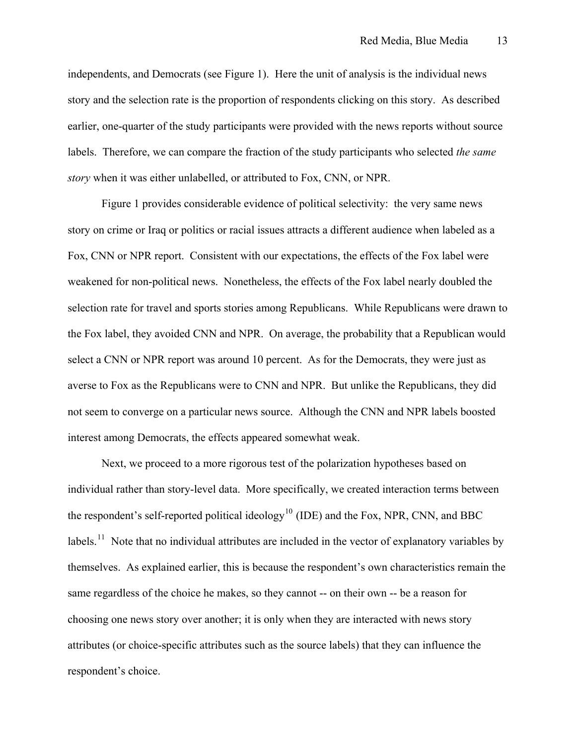independents, and Democrats (see Figure 1). Here the unit of analysis is the individual news story and the selection rate is the proportion of respondents clicking on this story. As described earlier, one-quarter of the study participants were provided with the news reports without source labels. Therefore, we can compare the fraction of the study participants who selected *the same story* when it was either unlabelled, or attributed to Fox, CNN, or NPR.

Figure 1 provides considerable evidence of political selectivity: the very same news story on crime or Iraq or politics or racial issues attracts a different audience when labeled as a Fox, CNN or NPR report. Consistent with our expectations, the effects of the Fox label were weakened for non-political news. Nonetheless, the effects of the Fox label nearly doubled the selection rate for travel and sports stories among Republicans. While Republicans were drawn to the Fox label, they avoided CNN and NPR. On average, the probability that a Republican would select a CNN or NPR report was around 10 percent. As for the Democrats, they were just as averse to Fox as the Republicans were to CNN and NPR. But unlike the Republicans, they did not seem to converge on a particular news source. Although the CNN and NPR labels boosted interest among Democrats, the effects appeared somewhat weak.

Next, we proceed to a more rigorous test of the polarization hypotheses based on individual rather than story-level data. More specifically, we created interaction terms between the respondent's self-reported political ideology<sup>[10](#page-10-0)</sup> (IDE) and the Fox, NPR, CNN, and BBC labels.<sup>[11](#page-10-0)</sup> Note that no individual attributes are included in the vector of explanatory variables by themselves. As explained earlier, this is because the respondent's own characteristics remain the same regardless of the choice he makes, so they cannot -- on their own -- be a reason for choosing one news story over another; it is only when they are interacted with news story attributes (or choice-specific attributes such as the source labels) that they can influence the respondent's choice.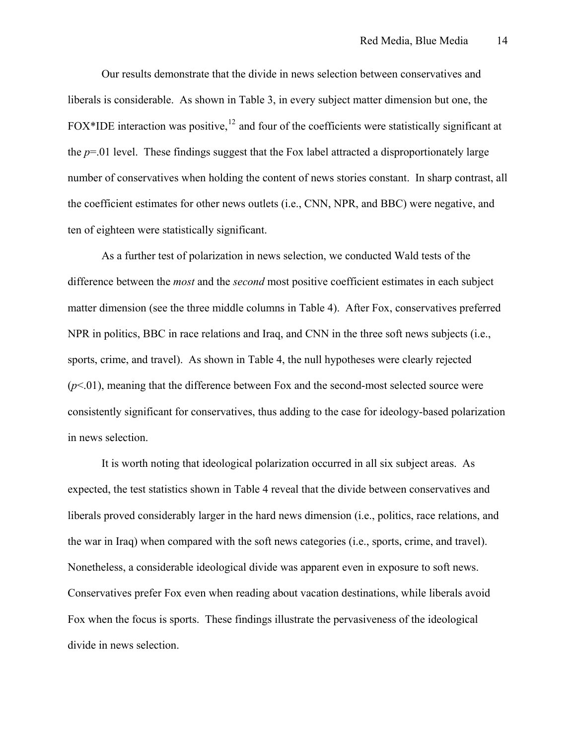Our results demonstrate that the divide in news selection between conservatives and liberals is considerable. As shown in Table 3, in every subject matter dimension but one, the FOX\*IDE interaction was positive,  $12$  and four of the coefficients were statistically significant at the *p*=.01 level. These findings suggest that the Fox label attracted a disproportionately large number of conservatives when holding the content of news stories constant. In sharp contrast, all the coefficient estimates for other news outlets (i.e., CNN, NPR, and BBC) were negative, and ten of eighteen were statistically significant.

As a further test of polarization in news selection, we conducted Wald tests of the difference between the *most* and the *second* most positive coefficient estimates in each subject matter dimension (see the three middle columns in Table 4). After Fox, conservatives preferred NPR in politics, BBC in race relations and Iraq, and CNN in the three soft news subjects (i.e., sports, crime, and travel). As shown in Table 4, the null hypotheses were clearly rejected  $(p<0.01)$ , meaning that the difference between Fox and the second-most selected source were consistently significant for conservatives, thus adding to the case for ideology-based polarization in news selection.

It is worth noting that ideological polarization occurred in all six subject areas. As expected, the test statistics shown in Table 4 reveal that the divide between conservatives and liberals proved considerably larger in the hard news dimension (i.e., politics, race relations, and the war in Iraq) when compared with the soft news categories (i.e., sports, crime, and travel). Nonetheless, a considerable ideological divide was apparent even in exposure to soft news. Conservatives prefer Fox even when reading about vacation destinations, while liberals avoid Fox when the focus is sports. These findings illustrate the pervasiveness of the ideological divide in news selection.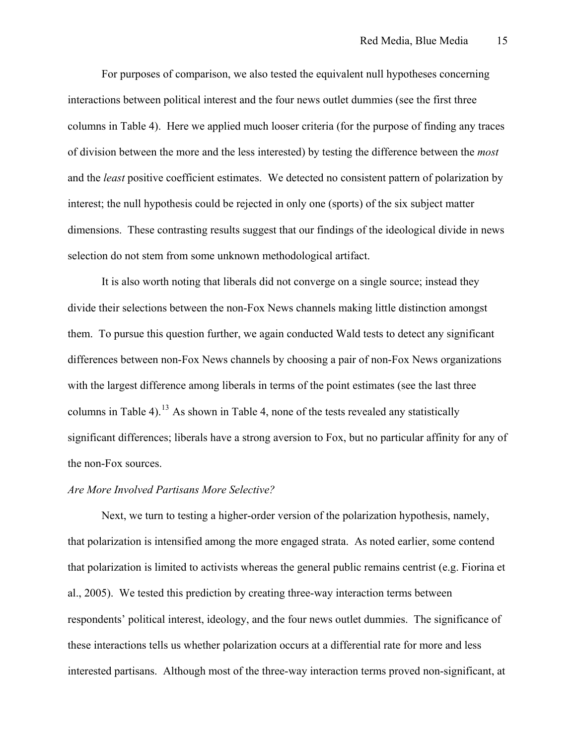For purposes of comparison, we also tested the equivalent null hypotheses concerning interactions between political interest and the four news outlet dummies (see the first three columns in Table 4). Here we applied much looser criteria (for the purpose of finding any traces of division between the more and the less interested) by testing the difference between the *most* and the *least* positive coefficient estimates. We detected no consistent pattern of polarization by interest; the null hypothesis could be rejected in only one (sports) of the six subject matter dimensions. These contrasting results suggest that our findings of the ideological divide in news selection do not stem from some unknown methodological artifact.

It is also worth noting that liberals did not converge on a single source; instead they divide their selections between the non-Fox News channels making little distinction amongst them. To pursue this question further, we again conducted Wald tests to detect any significant differences between non-Fox News channels by choosing a pair of non-Fox News organizations with the largest difference among liberals in terms of the point estimates (see the last three columns in Table 4).<sup>[13](#page-10-0)</sup> As shown in Table 4, none of the tests revealed any statistically significant differences; liberals have a strong aversion to Fox, but no particular affinity for any of the non-Fox sources.

#### *Are More Involved Partisans More Selective?*

Next, we turn to testing a higher-order version of the polarization hypothesis, namely, that polarization is intensified among the more engaged strata. As noted earlier, some contend that polarization is limited to activists whereas the general public remains centrist (e.g. Fiorina et al., 2005). We tested this prediction by creating three-way interaction terms between respondents' political interest, ideology, and the four news outlet dummies. The significance of these interactions tells us whether polarization occurs at a differential rate for more and less interested partisans. Although most of the three-way interaction terms proved non-significant, at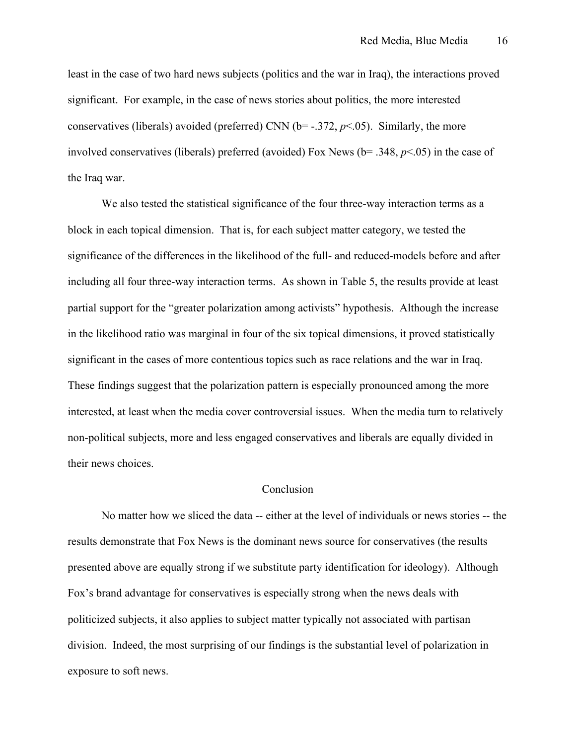least in the case of two hard news subjects (politics and the war in Iraq), the interactions proved significant. For example, in the case of news stories about politics, the more interested conservatives (liberals) avoided (preferred) CNN ( $b$ = -.372,  $p$ <.05). Similarly, the more involved conservatives (liberals) preferred (avoided) Fox News (b= .348, *p*<.05) in the case of the Iraq war.

We also tested the statistical significance of the four three-way interaction terms as a block in each topical dimension. That is, for each subject matter category, we tested the significance of the differences in the likelihood of the full- and reduced-models before and after including all four three-way interaction terms. As shown in Table 5, the results provide at least partial support for the "greater polarization among activists" hypothesis. Although the increase in the likelihood ratio was marginal in four of the six topical dimensions, it proved statistically significant in the cases of more contentious topics such as race relations and the war in Iraq. These findings suggest that the polarization pattern is especially pronounced among the more interested, at least when the media cover controversial issues. When the media turn to relatively non-political subjects, more and less engaged conservatives and liberals are equally divided in their news choices.

#### **Conclusion**

No matter how we sliced the data -- either at the level of individuals or news stories -- the results demonstrate that Fox News is the dominant news source for conservatives (the results presented above are equally strong if we substitute party identification for ideology). Although Fox's brand advantage for conservatives is especially strong when the news deals with politicized subjects, it also applies to subject matter typically not associated with partisan division. Indeed, the most surprising of our findings is the substantial level of polarization in exposure to soft news.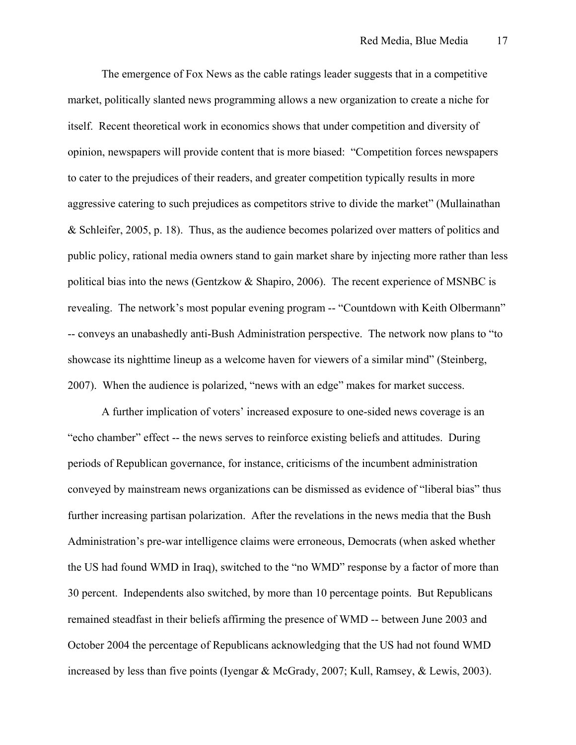The emergence of Fox News as the cable ratings leader suggests that in a competitive market, politically slanted news programming allows a new organization to create a niche for itself. Recent theoretical work in economics shows that under competition and diversity of opinion, newspapers will provide content that is more biased: "Competition forces newspapers to cater to the prejudices of their readers, and greater competition typically results in more aggressive catering to such prejudices as competitors strive to divide the market" (Mullainathan & Schleifer, 2005, p. 18). Thus, as the audience becomes polarized over matters of politics and public policy, rational media owners stand to gain market share by injecting more rather than less political bias into the news (Gentzkow & Shapiro, 2006). The recent experience of MSNBC is revealing. The network's most popular evening program -- "Countdown with Keith Olbermann" -- conveys an unabashedly anti-Bush Administration perspective. The network now plans to "to showcase its nighttime lineup as a welcome haven for viewers of a similar mind" (Steinberg, 2007). When the audience is polarized, "news with an edge" makes for market success.

A further implication of voters' increased exposure to one-sided news coverage is an "echo chamber" effect -- the news serves to reinforce existing beliefs and attitudes. During periods of Republican governance, for instance, criticisms of the incumbent administration conveyed by mainstream news organizations can be dismissed as evidence of "liberal bias" thus further increasing partisan polarization. After the revelations in the news media that the Bush Administration's pre-war intelligence claims were erroneous, Democrats (when asked whether the US had found WMD in Iraq), switched to the "no WMD" response by a factor of more than 30 percent. Independents also switched, by more than 10 percentage points. But Republicans remained steadfast in their beliefs affirming the presence of WMD -- between June 2003 and October 2004 the percentage of Republicans acknowledging that the US had not found WMD increased by less than five points (Iyengar & McGrady, 2007; Kull, Ramsey, & Lewis, 2003).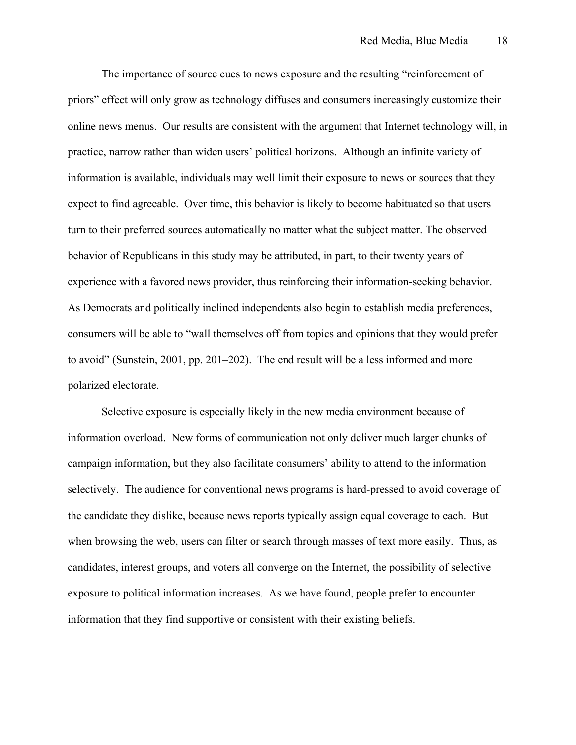The importance of source cues to news exposure and the resulting "reinforcement of priors" effect will only grow as technology diffuses and consumers increasingly customize their online news menus. Our results are consistent with the argument that Internet technology will, in practice, narrow rather than widen users' political horizons. Although an infinite variety of information is available, individuals may well limit their exposure to news or sources that they expect to find agreeable. Over time, this behavior is likely to become habituated so that users turn to their preferred sources automatically no matter what the subject matter. The observed behavior of Republicans in this study may be attributed, in part, to their twenty years of experience with a favored news provider, thus reinforcing their information-seeking behavior. As Democrats and politically inclined independents also begin to establish media preferences, consumers will be able to "wall themselves off from topics and opinions that they would prefer to avoid" (Sunstein, 2001, pp. 201–202). The end result will be a less informed and more polarized electorate.

Selective exposure is especially likely in the new media environment because of information overload. New forms of communication not only deliver much larger chunks of campaign information, but they also facilitate consumers' ability to attend to the information selectively. The audience for conventional news programs is hard-pressed to avoid coverage of the candidate they dislike, because news reports typically assign equal coverage to each. But when browsing the web, users can filter or search through masses of text more easily. Thus, as candidates, interest groups, and voters all converge on the Internet, the possibility of selective exposure to political information increases. As we have found, people prefer to encounter information that they find supportive or consistent with their existing beliefs.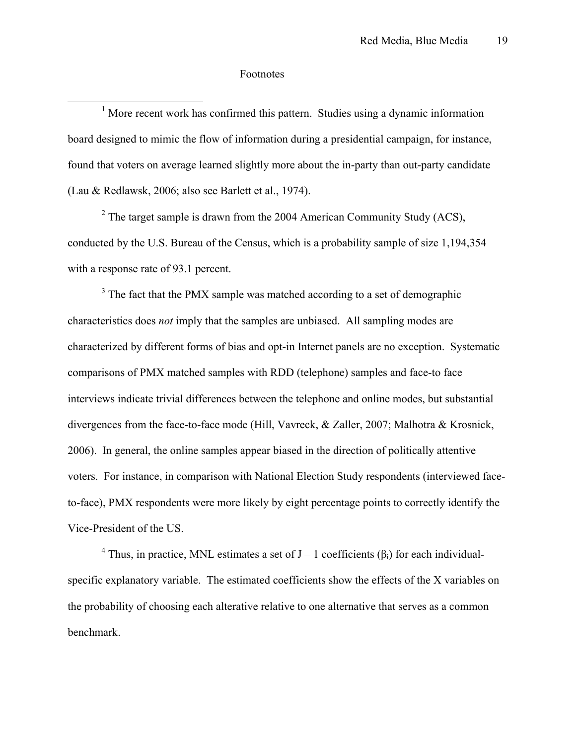#### Footnotes

 $\overline{a}$ 

<sup>1</sup> More recent work has confirmed this pattern. Studies using a dynamic information board designed to mimic the flow of information during a presidential campaign, for instance, found that voters on average learned slightly more about the in-party than out-party candidate (Lau & Redlawsk, 2006; also see Barlett et al., 1974).

 $2^2$  The target sample is drawn from the 2004 American Community Study (ACS), conducted by the U.S. Bureau of the Census, which is a probability sample of size 1,194,354 with a response rate of 93.1 percent.

 $3$  The fact that the PMX sample was matched according to a set of demographic characteristics does *not* imply that the samples are unbiased. All sampling modes are characterized by different forms of bias and opt-in Internet panels are no exception. Systematic comparisons of PMX matched samples with RDD (telephone) samples and face-to face interviews indicate trivial differences between the telephone and online modes, but substantial divergences from the face-to-face mode (Hill, Vavreck, & Zaller, 2007; Malhotra & Krosnick, 2006). In general, the online samples appear biased in the direction of politically attentive voters. For instance, in comparison with National Election Study respondents (interviewed faceto-face), PMX respondents were more likely by eight percentage points to correctly identify the Vice-President of the US.

<sup>4</sup> Thus, in practice, MNL estimates a set of  $J - 1$  coefficients ( $\beta_i$ ) for each individualspecific explanatory variable. The estimated coefficients show the effects of the X variables on the probability of choosing each alterative relative to one alternative that serves as a common benchmark.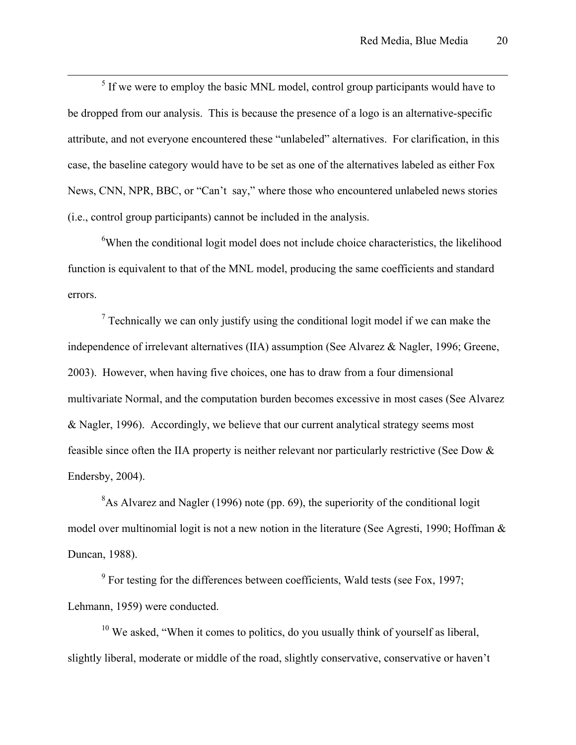$rac{1}{5}$  $<sup>5</sup>$  If we were to employ the basic MNL model, control group participants would have to</sup> be dropped from our analysis. This is because the presence of a logo is an alternative-specific attribute, and not everyone encountered these "unlabeled" alternatives. For clarification, in this case, the baseline category would have to be set as one of the alternatives labeled as either Fox News, CNN, NPR, BBC, or "Can't say," where those who encountered unlabeled news stories (i.e., control group participants) cannot be included in the analysis.

<sup>6</sup>When the conditional logit model does not include choice characteristics, the likelihood function is equivalent to that of the MNL model, producing the same coefficients and standard errors.

 $<sup>7</sup>$  Technically we can only justify using the conditional logit model if we can make the</sup> independence of irrelevant alternatives (IIA) assumption (See Alvarez & Nagler, 1996; Greene, 2003). However, when having five choices, one has to draw from a four dimensional multivariate Normal, and the computation burden becomes excessive in most cases (See Alvarez & Nagler, 1996). Accordingly, we believe that our current analytical strategy seems most feasible since often the IIA property is neither relevant nor particularly restrictive (See Dow & Endersby, 2004).

 $8$ As Alvarez and Nagler (1996) note (pp. 69), the superiority of the conditional logit model over multinomial logit is not a new notion in the literature (See Agresti, 1990; Hoffman & Duncan, 1988).

 $9^9$  For testing for the differences between coefficients, Wald tests (see Fox, 1997; Lehmann, 1959) were conducted.

 $10$  We asked, "When it comes to politics, do you usually think of yourself as liberal, slightly liberal, moderate or middle of the road, slightly conservative, conservative or haven't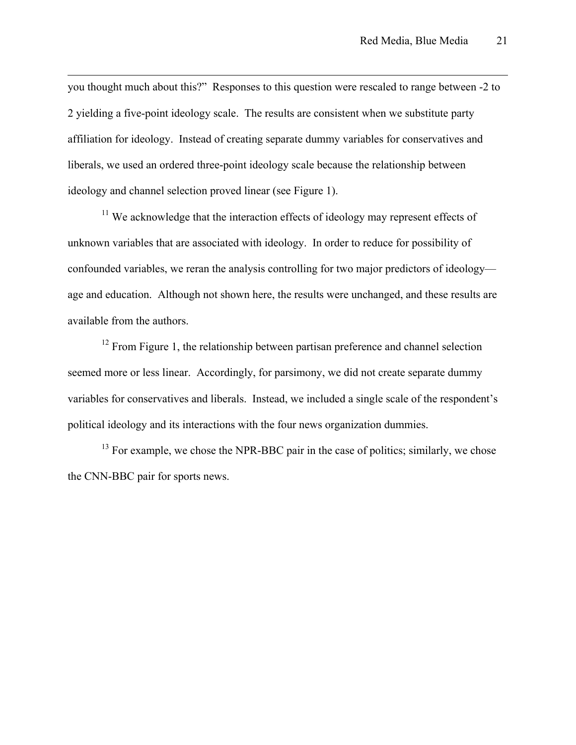you thought much about this?" Responses to this question were rescaled to range between -2 to 2 yielding a five-point ideology scale. The results are consistent when we substitute party affiliation for ideology. Instead of creating separate dummy variables for conservatives and liberals, we used an ordered three-point ideology scale because the relationship between ideology and channel selection proved linear (see Figure 1).

 $\overline{a}$ 

<sup>11</sup> We acknowledge that the interaction effects of ideology may represent effects of unknown variables that are associated with ideology. In order to reduce for possibility of confounded variables, we reran the analysis controlling for two major predictors of ideology age and education. Although not shown here, the results were unchanged, and these results are available from the authors.

<sup>12</sup> From Figure 1, the relationship between partisan preference and channel selection seemed more or less linear. Accordingly, for parsimony, we did not create separate dummy variables for conservatives and liberals. Instead, we included a single scale of the respondent's political ideology and its interactions with the four news organization dummies.

 $13$  For example, we chose the NPR-BBC pair in the case of politics; similarly, we chose the CNN-BBC pair for sports news.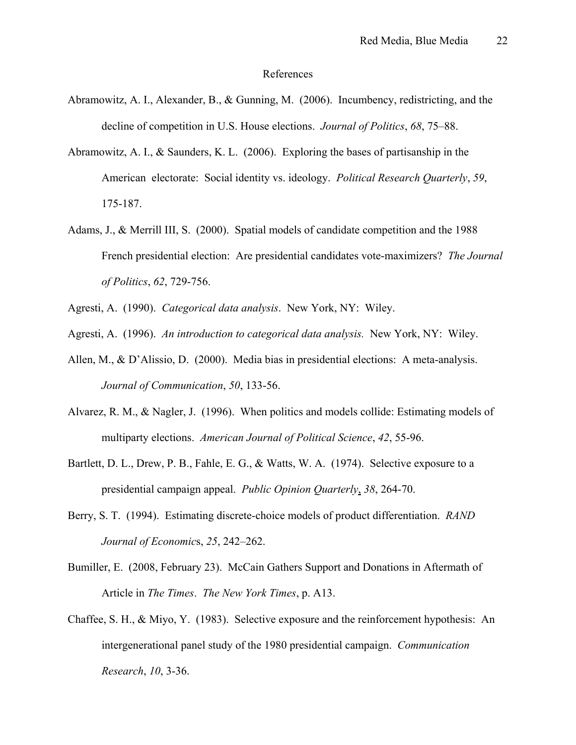#### References

- Abramowitz, A. I., Alexander, B., & Gunning, M. (2006). Incumbency, redistricting, and the decline of competition in U.S. House elections. *Journal of Politics*, *68*, 75–88.
- Abramowitz, A. I., & Saunders, K. L. (2006). Exploring the bases of partisanship in the American electorate: Social identity vs. ideology. *Political Research Quarterly*, *59*, 175-187.
- Adams, J., & Merrill III, S. (2000). Spatial models of candidate competition and the 1988 French presidential election: Are presidential candidates vote-maximizers? *The Journal of Politics*, *62*, 729-756.
- Agresti, A. (1990). *Categorical data analysis*. New York, NY: Wiley.
- Agresti, A. (1996). *An introduction to categorical data analysis.* New York, NY: Wiley.
- Allen, M., & D'Alissio, D. (2000). Media bias in presidential elections: A meta-analysis. *Journal of Communication*, *50*, 133-56.
- Alvarez, R. M., & Nagler, J. (1996). When politics and models collide: Estimating models of multiparty elections. *American Journal of Political Science*, *42*, 55-96.
- Bartlett, D. L., Drew, P. B., Fahle, E. G., & Watts, W. A. (1974). Selective exposure to a presidential campaign appeal. *Public Opinion Quarterly*, *38*, 264-70.
- Berry, S. T. (1994). Estimating discrete-choice models of product differentiation. *RAND Journal of Economic*s, *25*, 242–262.
- Bumiller, E. (2008, February 23). McCain Gathers Support and Donations in Aftermath of Article in *The Times*. *The New York Times*, p. A13.
- Chaffee, S. H., & Miyo, Y. (1983). Selective exposure and the reinforcement hypothesis: An intergenerational panel study of the 1980 presidential campaign. *Communication Research*, *10*, 3-36.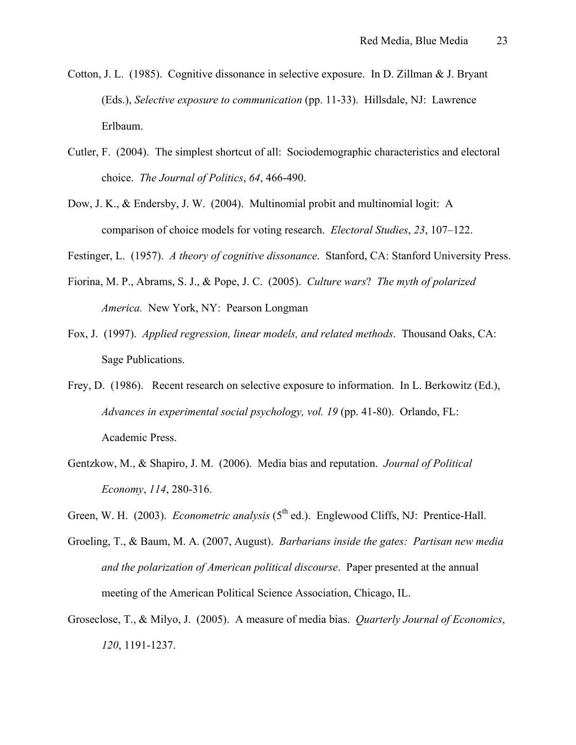- Cotton, J. L. (1985). Cognitive dissonance in selective exposure. In D. Zillman & J. Bryant (Eds.), *Selective exposure to communication* (pp. 11-33). Hillsdale, NJ: Lawrence Erlbaum.
- Cutler, F. (2004). The simplest shortcut of all: Sociodemographic characteristics and electoral choice. *The Journal of Politics*, *64*, 466-490.
- Dow, J. K., & Endersby, J. W. (2004). Multinomial probit and multinomial logit: A comparison of choice models for voting research. *Electoral Studies*, *23*, 107–122.

Festinger, L. (1957). *A theory of cognitive dissonance*. Stanford, CA: Stanford University Press.

- Fiorina, M. P., Abrams, S. J., & Pope, J. C. (2005). *Culture wars*? *The myth of polarized America.* New York, NY: Pearson Longman
- Fox, J. (1997). *Applied regression, linear models, and related methods*. Thousand Oaks, CA: Sage Publications.
- Frey, D. (1986). Recent research on selective exposure to information. In L. Berkowitz (Ed.), *Advances in experimental social psychology, vol. 19* (pp. 41-80). Orlando, FL: Academic Press.
- Gentzkow, M., & Shapiro, J. M. (2006). Media bias and reputation. *Journal of Political Economy*, *114*, 280-316.
- Green, W. H. (2003). *Econometric analysis* (5<sup>th</sup> ed.). Englewood Cliffs, NJ: Prentice-Hall.
- Groeling, T., & Baum, M. A. (2007, August). *Barbarians inside the gates: Partisan new media and the polarization of American political discourse*. Paper presented at the annual meeting of the American Political Science Association, Chicago, IL.
- Groseclose, T., & Milyo, J. (2005). A measure of media bias. *Quarterly Journal of Economics*, *120*, 1191-1237.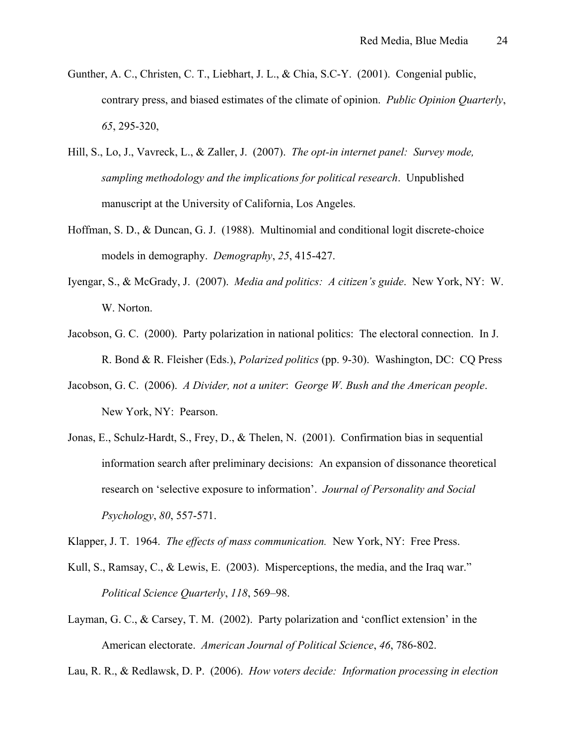- Gunther, A. C., Christen, C. T., Liebhart, J. L., & Chia, S.C-Y. (2001). Congenial public, contrary press, and biased estimates of the climate of opinion. *Public Opinion Quarterly*, *65*, 295-320,
- Hill, S., Lo, J., Vavreck, L., & Zaller, J. (2007). *The opt-in internet panel: Survey mode, sampling methodology and the implications for political research*. Unpublished manuscript at the University of California, Los Angeles.
- Hoffman, S. D., & Duncan, G. J. (1988). Multinomial and conditional logit discrete-choice models in demography. *Demography*, *25*, 415-427.
- Iyengar, S., & McGrady, J. (2007). *Media and politics: A citizen's guide*. New York, NY: W. W. Norton.
- Jacobson, G. C. (2000). Party polarization in national politics: The electoral connection. In J. R. Bond & R. Fleisher (Eds.), *Polarized politics* (pp. 9-30). Washington, DC: CQ Press
- Jacobson, G. C. (2006). *A Divider, not a uniter*: *George W. Bush and the American people*. New York, NY: Pearson.
- Jonas, E., Schulz-Hardt, S., Frey, D., & Thelen, N. (2001). Confirmation bias in sequential information search after preliminary decisions: An expansion of dissonance theoretical research on 'selective exposure to information'. *Journal of Personality and Social Psychology*, *80*, 557-571.

Klapper, J. T. 1964. *The effects of mass communication.* New York, NY: Free Press.

- Kull, S., Ramsay, C., & Lewis, E. (2003). Misperceptions, the media, and the Iraq war." *Political Science Quarterly*, *118*, 569–98.
- Layman, G. C., & Carsey, T. M. (2002). Party polarization and 'conflict extension' in the American electorate. *American Journal of Political Science*, *46*, 786-802.

Lau, R. R., & Redlawsk, D. P. (2006). *How voters decide: Information processing in election*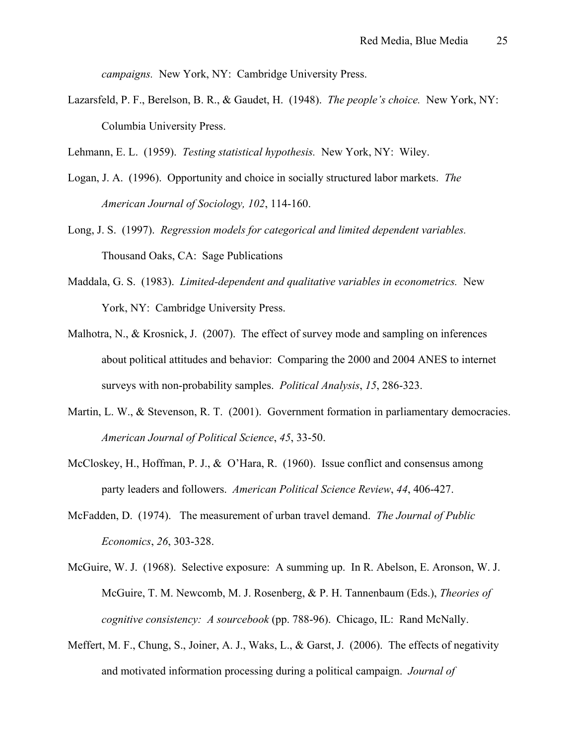*campaigns.* New York, NY: Cambridge University Press.

Lazarsfeld, P. F., Berelson, B. R., & Gaudet, H. (1948). *The people's choice.* New York, NY: Columbia University Press.

Lehmann, E. L. (1959). *Testing statistical hypothesis.* New York, NY: Wiley.

- Logan, J. A. (1996). Opportunity and choice in socially structured labor markets. *The American Journal of Sociology, 102*, 114-160.
- Long, J. S. (1997). *Regression models for categorical and limited dependent variables.* Thousand Oaks, CA: Sage Publications
- Maddala, G. S. (1983). *Limited-dependent and qualitative variables in econometrics.* New York, NY: Cambridge University Press.
- Malhotra, N., & Krosnick, J. (2007). The effect of survey mode and sampling on inferences about political attitudes and behavior: Comparing the 2000 and 2004 ANES to internet surveys with non-probability samples. *Political Analysis*, *15*, 286-323.
- Martin, L. W., & Stevenson, R. T. (2001). Government formation in parliamentary democracies. *American Journal of Political Science*, *45*, 33-50.
- McCloskey, H., Hoffman, P. J., & O'Hara, R. (1960). Issue conflict and consensus among party leaders and followers. *American Political Science Review*, *44*, 406-427.
- McFadden, D. (1974). The measurement of urban travel demand. *The Journal of Public Economics*, *26*, 303-328.
- McGuire, W. J. (1968). Selective exposure: A summing up. In R. Abelson, E. Aronson, W. J. McGuire, T. M. Newcomb, M. J. Rosenberg, & P. H. Tannenbaum (Eds.), *Theories of cognitive consistency: A sourcebook* (pp. 788-96). Chicago, IL: Rand McNally.
- Meffert, M. F., Chung, S., Joiner, A. J., Waks, L., & Garst, J. (2006). The effects of negativity and motivated information processing during a political campaign. *Journal of*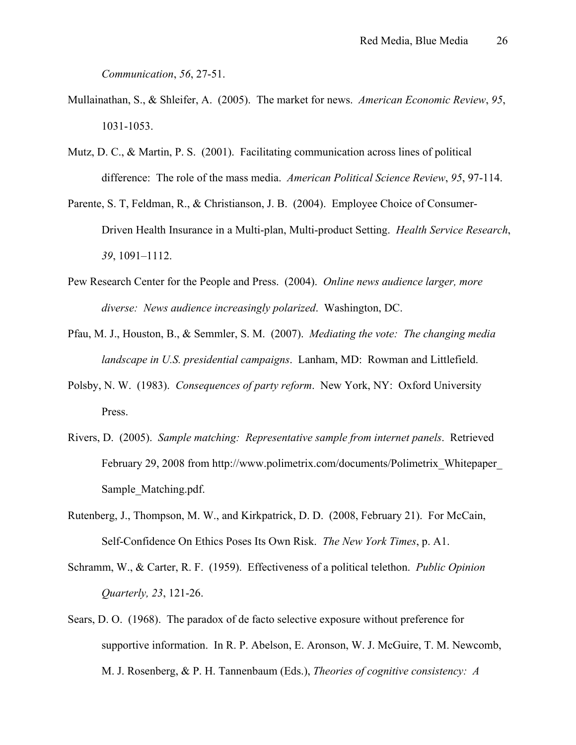*Communication*, *56*, 27-51.

- Mullainathan, S., & Shleifer, A. (2005). The market for news. *American Economic Review*, *95*, 1031-1053.
- Mutz, D. C., & Martin, P. S. (2001). Facilitating communication across lines of political difference: The role of the mass media. *American Political Science Review*, *95*, 97-114.
- Parente, S. T, Feldman, R., & Christianson, J. B. (2004). Employee Choice of Consumer-Driven Health Insurance in a Multi-plan, Multi-product Setting. *Health Service Research*, *39*, 1091–1112.
- Pew Research Center for the People and Press. (2004). *Online news audience larger, more diverse: News audience increasingly polarized*. Washington, DC.
- Pfau, M. J., Houston, B., & Semmler, S. M. (2007). *Mediating the vote: The changing media landscape in U.S. presidential campaigns*. Lanham, MD: Rowman and Littlefield.
- Polsby, N. W. (1983). *Consequences of party reform*. New York, NY: Oxford University Press.
- Rivers, D. (2005). *Sample matching: Representative sample from internet panels*. Retrieved February 29, 2008 from [http://www.polimetrix.com/documents/Polimetrix\\_Whitepaper\\_](http://www.polimetrix.com/documents/Polimetrix_Whitepaper_)  Sample\_Matching.pdf.
- Rutenberg, J., Thompson, M. W., and Kirkpatrick, D. D. (2008, February 21). For McCain, Self-Confidence On Ethics Poses Its Own Risk. *The New York Times*, p. A1.
- Schramm, W., & Carter, R. F. (1959). Effectiveness of a political telethon. *Public Opinion Quarterly, 23*, 121-26.
- Sears, D. O. (1968). The paradox of de facto selective exposure without preference for supportive information. In R. P. Abelson, E. Aronson, W. J. McGuire, T. M. Newcomb, M. J. Rosenberg, & P. H. Tannenbaum (Eds.), *Theories of cognitive consistency: A*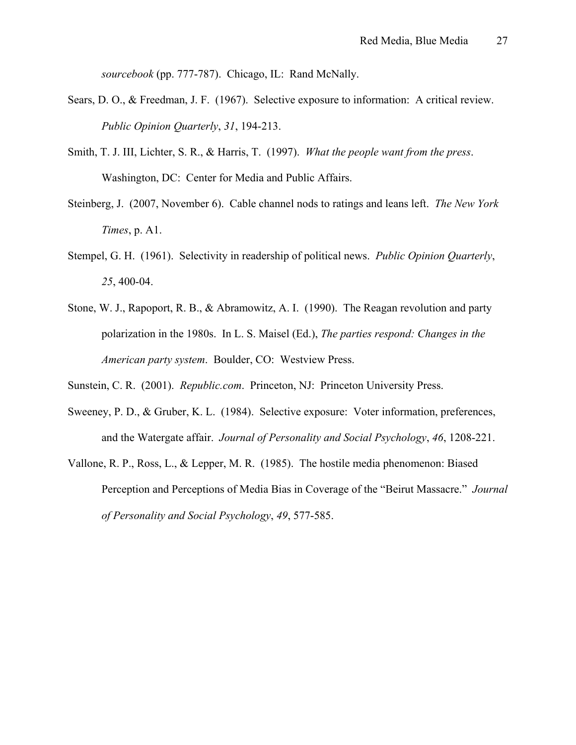*sourcebook* (pp. 777-787). Chicago, IL: Rand McNally.

- Sears, D. O., & Freedman, J. F. (1967). Selective exposure to information: A critical review. *Public Opinion Quarterly*, *31*, 194-213.
- Smith, T. J. III, Lichter, S. R., & Harris, T. (1997). *What the people want from the press*. Washington, DC: Center for Media and Public Affairs.
- Steinberg, J. (2007, November 6). Cable channel nods to ratings and leans left. *The New York Times*, p. A1.
- Stempel, G. H. (1961). Selectivity in readership of political news. *Public Opinion Quarterly*, *25*, 400-04.
- Stone, W. J., Rapoport, R. B., & Abramowitz, A. I. (1990). The Reagan revolution and party polarization in the 1980s. In L. S. Maisel (Ed.), *The parties respond: Changes in the American party system*. Boulder, CO: Westview Press.
- Sunstein, C. R. (2001). *Republic.com*. Princeton, NJ: Princeton University Press.
- Sweeney, P. D., & Gruber, K. L. (1984). Selective exposure: Voter information, preferences, and the Watergate affair. *Journal of Personality and Social Psychology*, *46*, 1208-221.
- Vallone, R. P., Ross, L., & Lepper, M. R. (1985). The hostile media phenomenon: Biased Perception and Perceptions of Media Bias in Coverage of the "Beirut Massacre." *Journal of Personality and Social Psychology*, *49*, 577-585.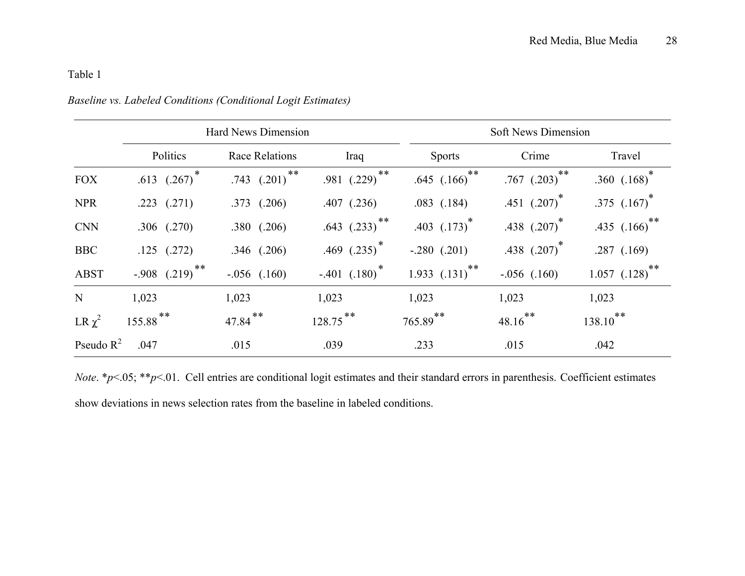|              | <b>Hard News Dimension</b>     |                           |                               | <b>Soft News Dimension</b>   |                       |                        |
|--------------|--------------------------------|---------------------------|-------------------------------|------------------------------|-----------------------|------------------------|
|              | Politics                       | <b>Race Relations</b>     | Iraq                          | <b>Sports</b>                | Crime                 | Travel                 |
| <b>FOX</b>   | .613 $(.267)^*$                | **<br>$.743$ $(.201)^{4}$ | $***$<br>$.981$ $(.229)$      | **<br>.645 $(.166)^*$        | **<br>.767 $(.203)^*$ | .360 $(.168)^*$        |
| <b>NPR</b>   | $.223$ $(.271)$                | $.373$ $(.206)$           | $.407$ $(.236)$               | $.083$ $(.184)$              | .451 $(.207)^*$       | .375 $(.167)^*$        |
| <b>CNN</b>   | $.306$ $(.270)$                | $.380$ $(.206)$           | $.643$ $(.233)$ <sup>**</sup> | $.403$ $(.173)^*$            | .438 $(.207)^*$       | .435 $(.166)^{**}$     |
| <b>BBC</b>   | $.125$ $(.272)$                | $.346$ $(.206)$           | .469 $(.235)^*$               | $-.280$ $(.201)$             | .438 $(.207)^*$       | .287(.169)             |
| <b>ABST</b>  | $-.908$ $(.219)$ <sup>**</sup> | $-.056$ $(.160)$          | $-.401$ $(.180)^*$            | 1.933 $(.131)$ <sup>**</sup> | $-.056$ $(.160)$      | $1.057$ $(.128)^{**}$  |
| N            | 1,023                          | 1,023                     | 1,023                         | 1,023                        | 1,023                 | 1,023                  |
| LR $\chi^2$  | 155.88**                       | $47.84$ **                | $128.75$ **                   | $765.89$ **                  | $48.16$ **            | $138.10$ <sup>**</sup> |
| Pseudo $R^2$ | .047                           | .015                      | .039                          | .233                         | .015                  | .042                   |

*Baseline vs. Labeled Conditions (Conditional Logit Estimates)* 

*Note*. \**p*<.05; \*\**p*<.01. Cell entries are conditional logit estimates and their standard errors in parenthesis. Coefficient estimates show deviations in news selection rates from the baseline in labeled conditions.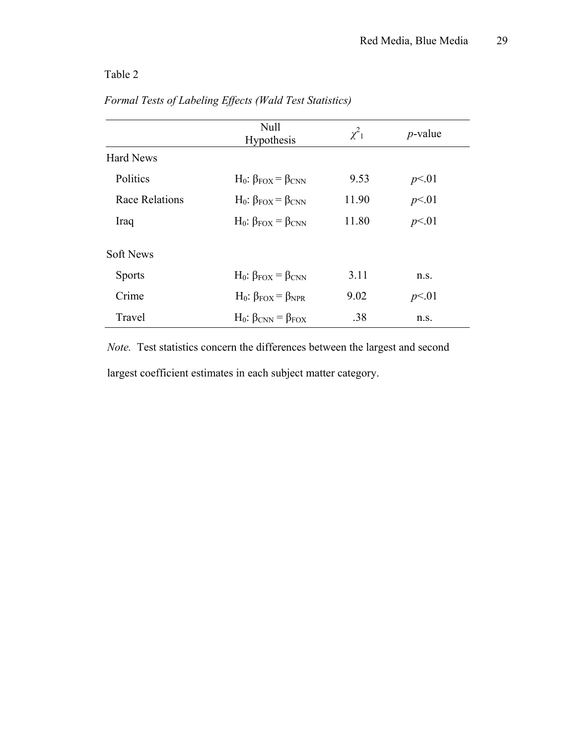|                       | Null<br><b>Hypothesis</b>           | $\chi^2_{1}$ | $p$ -value |
|-----------------------|-------------------------------------|--------------|------------|
| <b>Hard News</b>      |                                     |              |            |
| Politics              | $H_0$ : $\beta_{FOX} = \beta_{CNN}$ | 9.53         | p<01       |
| <b>Race Relations</b> | $H_0$ : $\beta_{FOX} = \beta_{CNN}$ | 11.90        | p<01       |
| Iraq                  | $H_0$ : $\beta_{FOX} = \beta_{CNN}$ | 11.80        | p<01       |
| <b>Soft News</b>      |                                     |              |            |
| <b>Sports</b>         | $H_0$ : $\beta_{FOX} = \beta_{CNN}$ | 3.11         | n.s.       |
| Crime                 | $H_0$ : $\beta_{FOX} = \beta_{NPR}$ | 9.02         | p<01       |
| Travel                | $H_0$ : $\beta_{CNN} = \beta_{FOX}$ | .38          | n.s.       |

## *Formal Tests of Labeling Effects (Wald Test Statistics)*

 *Note.* Test statistics concern the differences between the largest and second largest coefficient estimates in each subject matter category.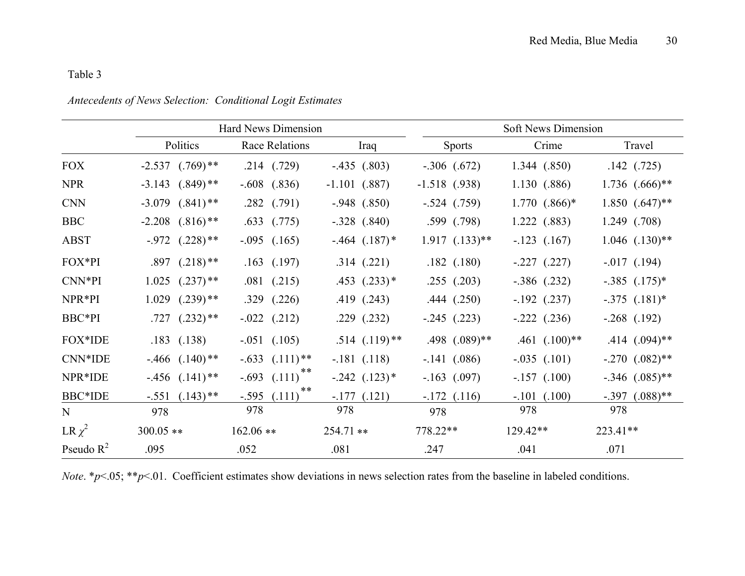|              | Hard News Dimension             |                         |                              | <b>Soft News Dimension</b> |                   |                                |  |
|--------------|---------------------------------|-------------------------|------------------------------|----------------------------|-------------------|--------------------------------|--|
|              | Politics                        | Race Relations          | Iraq                         | <b>Sports</b>              | Crime             | Travel                         |  |
| <b>FOX</b>   | $-2.537$ $(.769)$ **            | $.214$ $(.729)$         | $-.435$ $(.803)$             | $-.306$ $(.672)$           | 1.344 (.850)      | $.142$ $(.725)$                |  |
| <b>NPR</b>   | $-3.143$ $(.849)$ **            | $-.608$<br>(.836)       | $-1.101$ $(.887)$            | $-1.518$ (.938)            | 1.130 (.886)      | $1.736$ $(.666)**$             |  |
| <b>CNN</b>   | $(.841)$ **<br>$-3.079$         | (.791)<br>.282          | $-.948$ $(.850)$             | $-.524$ $(.759)$           | $1.770$ $(.866)*$ | $1.850$ $(.647)$ <sup>**</sup> |  |
| <b>BBC</b>   | $-2.208$ $(.816)$ <sup>**</sup> | .633<br>(.775)          | $-.328$ $(.840)$             | $.599$ $(.798)$            | 1.222(0.883)      | 1.249 (.708)                   |  |
| <b>ABST</b>  | $-0.972$ $(.228)$ **            | $-.095$ $(.165)$        | $-464$ $(.187)$ <sup>*</sup> | $1.917$ $(.133)**$         | $-.123$ $(.167)$  | $1.046$ $(.130)**$             |  |
| FOX*PI       | $.897$ $(.218)$ **              | $.163$ $(.197)$         | .314(.221)                   | $.182$ $(.180)$            | $-.227$ $(.227)$  | $-0.017$ (.194)                |  |
| CNN*PI       | $1.025$ $(.237)$ <sup>**</sup>  | $.081$ $(.215)$         | $.453$ $(.233)*$             | $.255$ $(.203)$            | $-.386$ $(.232)$  | $-.385$ $(.175)^*$             |  |
| NPR*PI       | $1.029$ $(.239)$ **             | (.226)<br>.329          | .419(.243)                   | .444(.250)                 | $-192$ (.237)     | $-.375$ $(.181)^*$             |  |
| BBC*PI       | $.727$ $(.232)**$               | $-.022$ $(.212)$        | $.229$ $(.232)$              | $-.245$ $(.223)$           | $-.222$ $(.236)$  | $-.268$ $(.192)$               |  |
| FOX*IDE      | $.183$ $(.138)$                 | $-.051$ $(.105)$        | $.514$ $(.119)$ **           | $.498$ $(.089)$ **         | $.461$ $(.100)**$ | $.414$ $(.094)$ **             |  |
| CNN*IDE      | $-0.466$ $(.140)$ **            | $-.633$ $(.111)**$      | $-.181$ $(.118)$             | $-.141$ $(.086)$           | $-.035$ $(.101)$  | $-.270$ $(.082)$ <sup>**</sup> |  |
| NPR*IDE      | $-456$ $(.141)$ <sup>**</sup>   | **<br>$-.693$ $(.111)$  | $-.242$ $(.123)*$            | $-.163$ (.097)             | $-.157$ $(.100)$  | $-.346$ $(.085)$ <sup>**</sup> |  |
| BBC*IDE      | $-.551$ $(.143)$ **             | **<br>$-.595$<br>(.111) | $-177(121)$                  | $-172$ $(116)$             | $-.101$ $(.100)$  | $(.088)$ **<br>$-.397$         |  |
| N            | 978                             | 978                     | 978                          | 978                        | 978               | 978                            |  |
| LR $\chi^2$  | $300.05$ **                     | $162.06**$              | $254.71**$                   | 778.22**                   | $129.42**$        | 223.41**                       |  |
| Pseudo $R^2$ | .095                            | .052                    | .081                         | .247                       | .041              | .071                           |  |

### *Antecedents of News Selection: Conditional Logit Estimates*

*Note.* \**p*<.05; \*\**p*<.01. Coefficient estimates show deviations in news selection rates from the baseline in labeled conditions.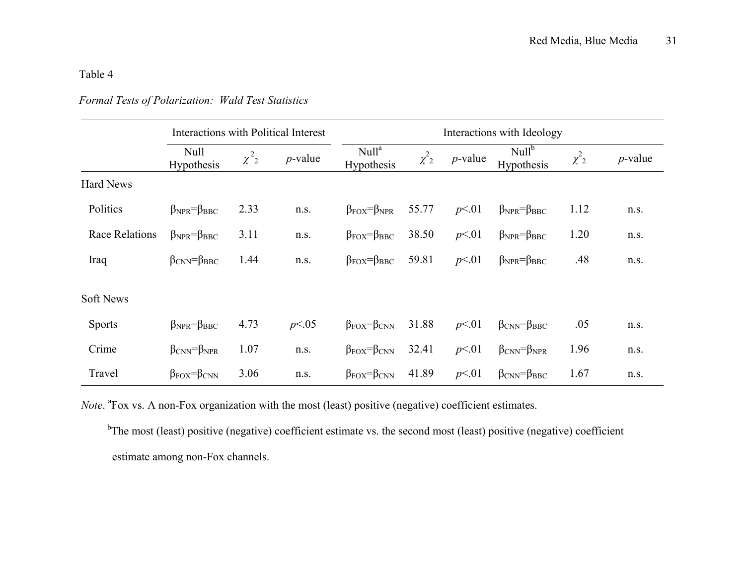### *Formal Tests of Polarization: Wald Test Statistics*

|                       | <b>Interactions with Political Interest</b> |                       |            |                                           |                       |            | Interactions with Ideology          |                       |            |
|-----------------------|---------------------------------------------|-----------------------|------------|-------------------------------------------|-----------------------|------------|-------------------------------------|-----------------------|------------|
|                       | Null<br>Hypothesis                          | $\chi^2$ <sub>2</sub> | $p$ -value | Null <sup>a</sup><br>Hypothesis           | $\chi^2$ <sub>2</sub> | $p$ -value | Null <sup>b</sup><br>Hypothesis     | $\chi^2$ <sub>2</sub> | $p$ -value |
| <b>Hard News</b>      |                                             |                       |            |                                           |                       |            |                                     |                       |            |
| Politics              | $\beta_{NPR} = \beta_{BBC}$                 | 2.33                  | n.s.       | $\beta_{\text{FOX}} = \beta_{\text{NPR}}$ | 55.77                 | p<01       | $\beta_{NPR} = \beta_{BBC}$         | 1.12                  | n.s.       |
| <b>Race Relations</b> | $\beta_{NPR} = \beta_{BBC}$                 | 3.11                  | n.s.       | $\beta_{\text{FOX}} = \beta_{\text{BBC}}$ | 38.50                 | p<01       | $\beta_{NPR} = \beta_{BBC}$         | 1.20                  | n.s.       |
| Iraq                  | $\beta_{\rm CNN} = \beta_{\rm BBC}$         | 1.44                  | n.s.       | $\beta_{\text{FOX}} = \beta_{\text{BBC}}$ | 59.81                 | p<01       | $\beta_{NPR} = \beta_{BBC}$         | .48                   | n.s.       |
| <b>Soft News</b>      |                                             |                       |            |                                           |                       |            |                                     |                       |            |
| <b>Sports</b>         | $\beta_{NPR} = \beta_{BBC}$                 | 4.73                  | p<0.05     | $\beta_{\text{FOX}} = \beta_{\text{CNN}}$ | 31.88                 | p<01       | $\beta_{CNN} = \beta_{BBC}$         | .05                   | n.s.       |
| Crime                 | $\beta_{CNN} = \beta_{NPR}$                 | 1.07                  | n.s.       | $\beta_{\text{FOX}} = \beta_{\text{CNN}}$ | 32.41                 | p<01       | $\beta_{CNN} = \beta_{NPR}$         | 1.96                  | n.s.       |
| Travel                | $\beta_{\text{FOX}} = \beta_{\text{CNN}}$   | 3.06                  | n.s.       | $\beta_{\text{FOX}} = \beta_{\text{CNN}}$ | 41.89                 | p<01       | $\beta_{\rm CNN} = \beta_{\rm BBC}$ | 1.67                  | n.s.       |

*Note*. <sup>a</sup>Fox vs. A non-Fox organization with the most (least) positive (negative) coefficient estimates.

<sup>b</sup>The most (least) positive (negative) coefficient estimate vs. the second most (least) positive (negative) coefficient estimate among non-Fox channels.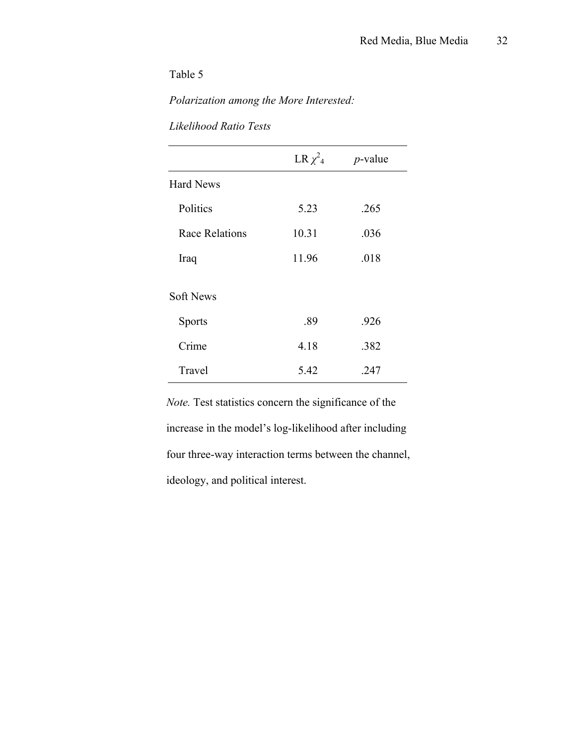*Polarization among the More Interested:* 

| Likelihood Ratio Tests |  |
|------------------------|--|
|                        |  |

|                       | LR $\chi^2$ <sub>4</sub> | $p$ -value |
|-----------------------|--------------------------|------------|
| <b>Hard News</b>      |                          |            |
| Politics              | 5.23                     | .265       |
| <b>Race Relations</b> | 10.31                    | .036       |
| Iraq                  | 11.96                    | .018       |
| <b>Soft News</b>      |                          |            |
| <b>Sports</b>         | .89                      | .926       |
| Crime                 | 4.18                     | .382       |
| Travel                | 5.42                     | .247       |

 *Note.* Test statistics concern the significance of the increase in the model's log-likelihood after including four three-way interaction terms between the channel, ideology, and political interest.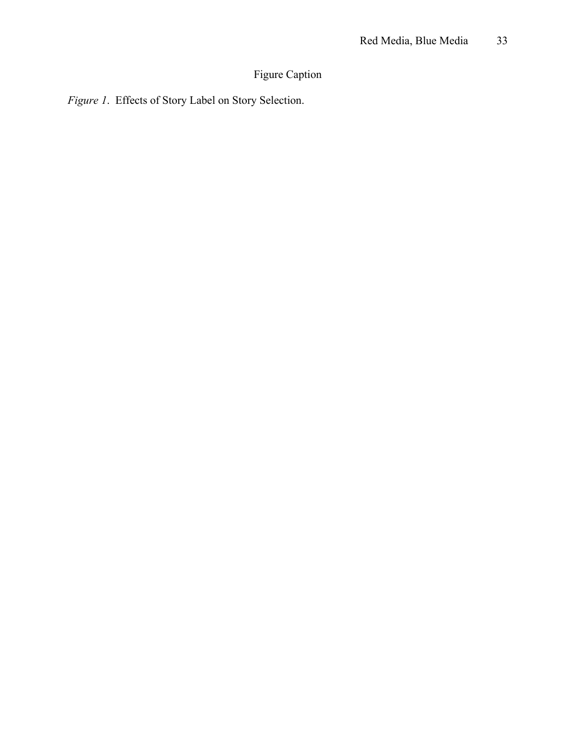# Figure Caption

*Figure 1*. Effects of Story Label on Story Selection.